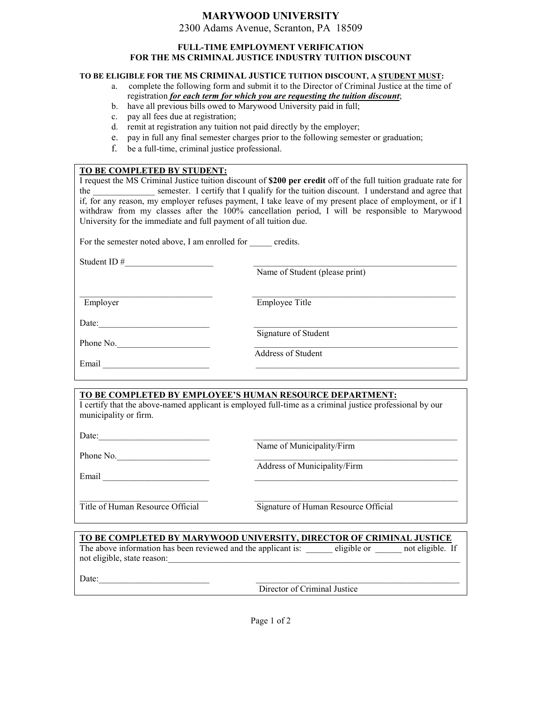## **MARYWOOD UNIVERSITY**

2300 Adams Avenue, Scranton, PA 18509

#### **FULL-TIME EMPLOYMENT VERIFICATION FOR THE MS CRIMINAL JUSTICE INDUSTRY TUITION DISCOUNT**

#### **TO BE ELIGIBLE FOR THE MS CRIMINAL JUSTICE TUITION DISCOUNT, A STUDENT MUST:**

- a. complete the following form and submit it to the Director of Criminal Justice at the time of registration *for each term for which you are requesting the tuition discount*;
- b. have all previous bills owed to Marywood University paid in full;
- c. pay all fees due at registration;
- d. remit at registration any tuition not paid directly by the employer;
- e. pay in full any final semester charges prior to the following semester or graduation;
- f. be a full-time, criminal justice professional.

# **TO BE COMPLETED BY STUDENT:** I request the MS Criminal Justice tuition discount of **\$200 per credit** off of the full tuition graduate rate for the semester. I certify that I qualify for the tuition discount. I understand and agree that if, for any reason, my employer refuses payment, I take leave of my present place of employment, or if I withdraw from my classes after the 100% cancellation period, I will be responsible to Marywood University for the immediate and full payment of all tuition due. For the semester noted above, I am enrolled for credits. Student ID # Name of Student (please print)  $\mathcal{L}_\text{max}$  , and the contribution of the contribution of the contribution of the contribution of the contribution of the contribution of the contribution of the contribution of the contribution of the contribution of t Employer Employee Title Date: Signature of Student Phone No. Address of Student Email  $\Box$

### **TO BE COMPLETED BY EMPLOYEE'S HUMAN RESOURCE DEPARTMENT:**

I certify that the above-named applicant is employed full-time as a criminal justice professional by our municipality or firm.

Date:

Phone No.

Name of Municipality/Firm

Email \_\_\_\_\_\_\_\_\_\_\_\_\_\_\_\_\_\_\_\_\_\_\_\_ \_\_\_\_\_\_\_\_\_\_\_\_\_\_\_\_\_\_\_\_\_\_\_\_\_\_\_\_\_\_\_\_\_\_\_\_\_\_\_\_\_\_\_\_\_\_

Address of Municipality/Firm

\_\_\_\_\_\_\_\_\_\_\_\_\_\_\_\_\_\_\_\_\_\_\_\_\_\_\_\_\_ \_\_\_\_\_\_\_\_\_\_\_\_\_\_\_\_\_\_\_\_\_\_\_\_\_\_\_\_\_\_\_\_\_\_\_\_\_\_\_\_\_\_\_\_\_\_

Title of Human Resource Official Signature of Human Resource Official

| TO BE COMPLETED BY MARYWOOD UNIVERSITY, DIRECTOR OF CRIMINAL JUSTICE |                              |             |                  |
|----------------------------------------------------------------------|------------------------------|-------------|------------------|
| The above information has been reviewed and the applicant is:        |                              | eligible or | not eligible. If |
| not eligible, state reason:                                          |                              |             |                  |
| Date:                                                                |                              |             |                  |
|                                                                      | Director of Criminal Justice |             |                  |